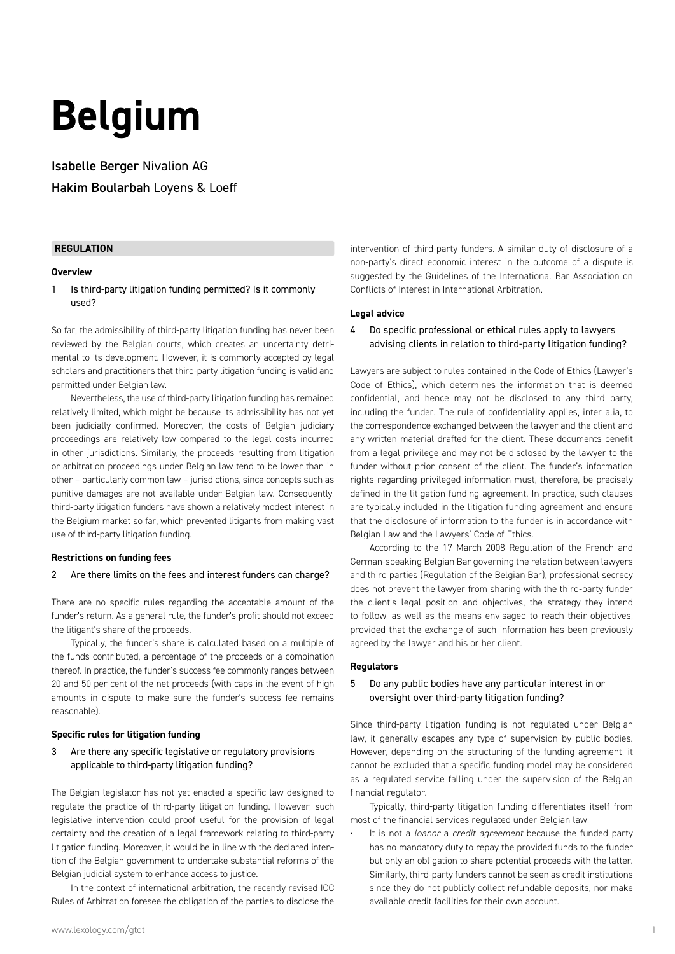# **Belgium**

Isabelle Berger Nivalion AG Hakim Boularbah Loyens & Loeff

#### **REGULATION**

#### **Overview**

 $1$  | Is third-party litigation funding permitted? Is it commonly used?

So far, the admissibility of third-party litigation funding has never been reviewed by the Belgian courts, which creates an uncertainty detrimental to its development. However, it is commonly accepted by legal scholars and practitioners that third-party litigation funding is valid and permitted under Belgian law.

Nevertheless, the use of third-party litigation funding has remained relatively limited, which might be because its admissibility has not yet been judicially confirmed. Moreover, the costs of Belgian judiciary proceedings are relatively low compared to the legal costs incurred in other jurisdictions. Similarly, the proceeds resulting from litigation or arbitration proceedings under Belgian law tend to be lower than in other – particularly common law – jurisdictions, since concepts such as punitive damages are not available under Belgian law. Consequently, third-party litigation funders have shown a relatively modest interest in the Belgium market so far, which prevented litigants from making vast use of third-party litigation funding.

#### **Restrictions on funding fees**

#### 2  $\vert$  Are there limits on the fees and interest funders can charge?

There are no specific rules regarding the acceptable amount of the funder's return. As a general rule, the funder's profit should not exceed the litigant's share of the proceeds.

Typically, the funder's share is calculated based on a multiple of the funds contributed, a percentage of the proceeds or a combination thereof. In practice, the funder's success fee commonly ranges between 20 and 50 per cent of the net proceeds (with caps in the event of high amounts in dispute to make sure the funder's success fee remains reasonable).

#### **Specific rules for litigation funding**

 $3$  Are there any specific legislative or regulatory provisions applicable to third-party litigation funding?

The Belgian legislator has not yet enacted a specific law designed to regulate the practice of third-party litigation funding. However, such legislative intervention could proof useful for the provision of legal certainty and the creation of a legal framework relating to third-party litigation funding. Moreover, it would be in line with the declared intention of the Belgian government to undertake substantial reforms of the Belgian judicial system to enhance access to justice.

In the context of international arbitration, the recently revised ICC Rules of Arbitration foresee the obligation of the parties to disclose the intervention of third-party funders. A similar duty of disclosure of a non-party's direct economic interest in the outcome of a dispute is suggested by the Guidelines of the International Bar Association on Conflicts of Interest in International Arbitration.

#### **Legal advice**

#### 4 Do specific professional or ethical rules apply to lawyers advising clients in relation to third-party litigation funding?

Lawyers are subject to rules contained in the Code of Ethics (Lawyer's Code of Ethics), which determines the information that is deemed confidential, and hence may not be disclosed to any third party, including the funder. The rule of confidentiality applies, inter alia, to the correspondence exchanged between the lawyer and the client and any written material drafted for the client. These documents benefit from a legal privilege and may not be disclosed by the lawyer to the funder without prior consent of the client. The funder's information rights regarding privileged information must, therefore, be precisely defined in the litigation funding agreement. In practice, such clauses are typically included in the litigation funding agreement and ensure that the disclosure of information to the funder is in accordance with Belgian Law and the Lawyers' Code of Ethics.

According to the 17 March 2008 Regulation of the French and German-speaking Belgian Bar governing the relation between lawyers and third parties (Regulation of the Belgian Bar), professional secrecy does not prevent the lawyer from sharing with the third-party funder the client's legal position and objectives, the strategy they intend to follow, as well as the means envisaged to reach their objectives, provided that the exchange of such information has been previously agreed by the lawyer and his or her client.

#### **Regulators**

#### 5 Do any public bodies have any particular interest in or oversight over third-party litigation funding?

Since third-party litigation funding is not regulated under Belgian law, it generally escapes any type of supervision by public bodies. However, depending on the structuring of the funding agreement, it cannot be excluded that a specific funding model may be considered as a regulated service falling under the supervision of the Belgian financial regulator.

Typically, third-party litigation funding differentiates itself from most of the financial services regulated under Belgian law:

• It is not a *loanor* a *credit agreement* because the funded party has no mandatory duty to repay the provided funds to the funder but only an obligation to share potential proceeds with the latter. Similarly, third-party funders cannot be seen as credit institutions since they do not publicly collect refundable deposits, nor make available credit facilities for their own account.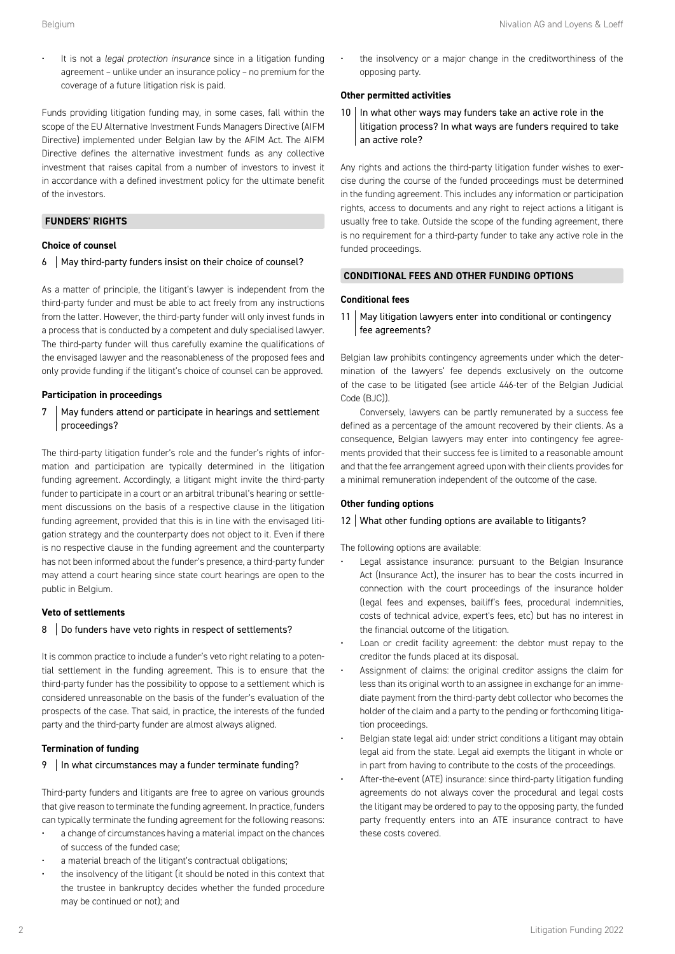• It is not a *legal protection insurance* since in a litigation funding agreement – unlike under an insurance policy – no premium for the coverage of a future litigation risk is paid.

Funds providing litigation funding may, in some cases, fall within the scope of the EU Alternative Investment Funds Managers Directive (AIFM Directive) implemented under Belgian law by the AFIM Act. The AIFM Directive defines the alternative investment funds as any collective investment that raises capital from a number of investors to invest it in accordance with a defined investment policy for the ultimate benefit of the investors.

#### **FUNDERS' RIGHTS**

#### **Choice of counsel**

6 | May third-party funders insist on their choice of counsel?

As a matter of principle, the litigant's lawyer is independent from the third-party funder and must be able to act freely from any instructions from the latter. However, the third-party funder will only invest funds in a process that is conducted by a competent and duly specialised lawyer. The third-party funder will thus carefully examine the qualifications of the envisaged lawyer and the reasonableness of the proposed fees and only provide funding if the litigant's choice of counsel can be approved.

#### **Participation in proceedings**

7 | May funders attend or participate in hearings and settlement proceedings?

The third-party litigation funder's role and the funder's rights of information and participation are typically determined in the litigation funding agreement. Accordingly, a litigant might invite the third-party funder to participate in a court or an arbitral tribunal's hearing or settlement discussions on the basis of a respective clause in the litigation funding agreement, provided that this is in line with the envisaged litigation strategy and the counterparty does not object to it. Even if there is no respective clause in the funding agreement and the counterparty has not been informed about the funder's presence, a third-party funder may attend a court hearing since state court hearings are open to the public in Belgium.

#### **Veto of settlements**

#### 8 Do funders have veto rights in respect of settlements?

It is common practice to include a funder's veto right relating to a potential settlement in the funding agreement. This is to ensure that the third-party funder has the possibility to oppose to a settlement which is considered unreasonable on the basis of the funder's evaluation of the prospects of the case. That said, in practice, the interests of the funded party and the third-party funder are almost always aligned.

#### **Termination of funding**

#### 9 | In what circumstances may a funder terminate funding?

Third-party funders and litigants are free to agree on various grounds that give reason to terminate the funding agreement. In practice, funders can typically terminate the funding agreement for the following reasons:

- a change of circumstances having a material impact on the chances of success of the funded case;
- a material breach of the litigant's contractual obligations;
- the insolvency of the litigant (it should be noted in this context that the trustee in bankruptcy decides whether the funded procedure may be continued or not); and

• the insolvency or a major change in the creditworthiness of the opposing party.

#### **Other permitted activities**

 $10$  In what other ways may funders take an active role in the litigation process? In what ways are funders required to take an active role?

Any rights and actions the third-party litigation funder wishes to exercise during the course of the funded proceedings must be determined in the funding agreement. This includes any information or participation rights, access to documents and any right to reject actions a litigant is usually free to take. Outside the scope of the funding agreement, there is no requirement for a third-party funder to take any active role in the funded proceedings.

#### **CONDITIONAL FEES AND OTHER FUNDING OPTIONS**

#### **Conditional fees**

11 | May litigation lawyers enter into conditional or contingency fee agreements?

Belgian law prohibits contingency agreements under which the determination of the lawyers' fee depends exclusively on the outcome of the case to be litigated (see article 446-ter of the Belgian Judicial Code (BJC)).

Conversely, lawyers can be partly remunerated by a success fee defined as a percentage of the amount recovered by their clients. As a consequence, Belgian lawyers may enter into contingency fee agreements provided that their success fee is limited to a reasonable amount and that the fee arrangement agreed upon with their clients provides for a minimal remuneration independent of the outcome of the case.

#### **Other funding options**

#### 12 What other funding options are available to litigants?

The following options are available:

- Legal assistance insurance: pursuant to the Belgian Insurance Act (Insurance Act), the insurer has to bear the costs incurred in connection with the court proceedings of the insurance holder (legal fees and expenses, bailiff's fees, procedural indemnities, costs of technical advice, expert's fees, etc) but has no interest in the financial outcome of the litigation.
- Loan or credit facility agreement: the debtor must repay to the creditor the funds placed at its disposal.
- Assignment of claims: the original creditor assigns the claim for less than its original worth to an assignee in exchange for an immediate payment from the third-party debt collector who becomes the holder of the claim and a party to the pending or forthcoming litigation proceedings.
- Belgian state legal aid: under strict conditions a litigant may obtain legal aid from the state. Legal aid exempts the litigant in whole or in part from having to contribute to the costs of the proceedings.
- After-the-event (ATE) insurance: since third-party litigation funding agreements do not always cover the procedural and legal costs the litigant may be ordered to pay to the opposing party, the funded party frequently enters into an ATE insurance contract to have these costs covered.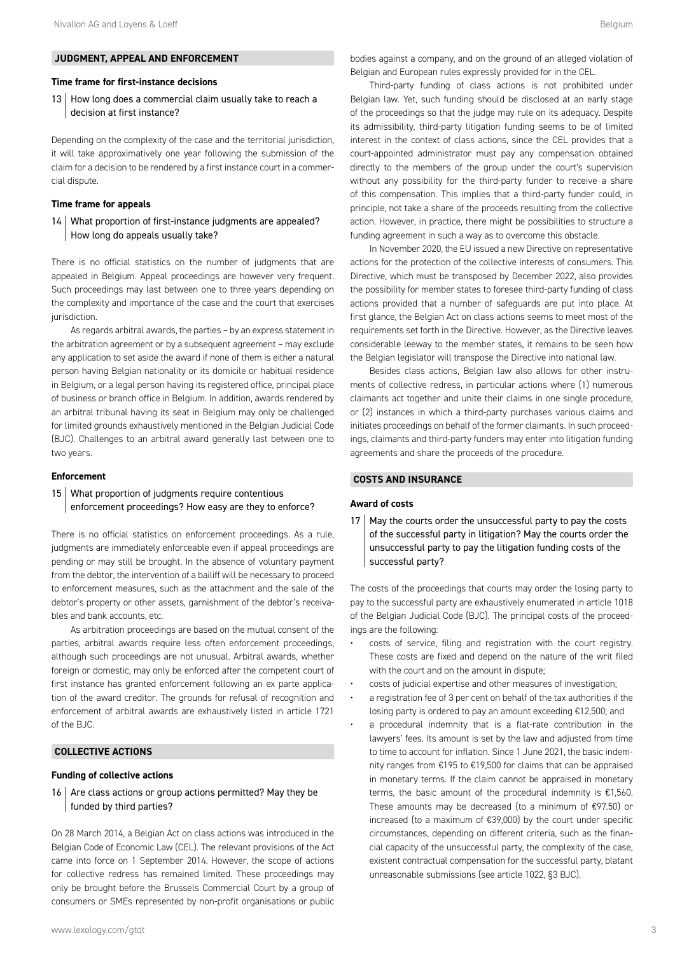#### **Time frame for first-instance decisions**

13 | How long does a commercial claim usually take to reach a decision at first instance?

Depending on the complexity of the case and the territorial jurisdiction, it will take approximatively one year following the submission of the claim for a decision to be rendered by a first instance court in a commercial dispute.

#### **Time frame for appeals**

14 What proportion of first-instance judgments are appealed? How long do appeals usually take?

There is no official statistics on the number of judgments that are appealed in Belgium. Appeal proceedings are however very frequent. Such proceedings may last between one to three years depending on the complexity and importance of the case and the court that exercises jurisdiction.

As regards arbitral awards, the parties – by an express statement in the arbitration agreement or by a subsequent agreement – may exclude any application to set aside the award if none of them is either a natural person having Belgian nationality or its domicile or habitual residence in Belgium, or a legal person having its registered office, principal place of business or branch office in Belgium. In addition, awards rendered by an arbitral tribunal having its seat in Belgium may only be challenged for limited grounds exhaustively mentioned in the Belgian Judicial Code (BJC). Challenges to an arbitral award generally last between one to two years.

#### **Enforcement**

#### 15 What proportion of judgments require contentious enforcement proceedings? How easy are they to enforce?

There is no official statistics on enforcement proceedings. As a rule, judgments are immediately enforceable even if appeal proceedings are pending or may still be brought. In the absence of voluntary payment from the debtor, the intervention of a bailiff will be necessary to proceed to enforcement measures, such as the attachment and the sale of the debtor's property or other assets, garnishment of the debtor's receivables and bank accounts, etc.

As arbitration proceedings are based on the mutual consent of the parties, arbitral awards require less often enforcement proceedings, although such proceedings are not unusual. Arbitral awards, whether foreign or domestic, may only be enforced after the competent court of first instance has granted enforcement following an ex parte application of the award creditor. The grounds for refusal of recognition and enforcement of arbitral awards are exhaustively listed in article 1721 of the BJC.

#### **COLLECTIVE ACTIONS**

#### **Funding of collective actions**

16  $\vert$  Are class actions or group actions permitted? May they be funded by third parties?

On 28 March 2014, a Belgian Act on class actions was introduced in the Belgian Code of Economic Law (CEL). The relevant provisions of the Act came into force on 1 September 2014. However, the scope of actions for collective redress has remained limited. These proceedings may only be brought before the Brussels Commercial Court by a group of consumers or SMEs represented by non-profit organisations or public

Third-party funding of class actions is not prohibited under Belgian law. Yet, such funding should be disclosed at an early stage of the proceedings so that the judge may rule on its adequacy. Despite its admissibility, third-party litigation funding seems to be of limited interest in the context of class actions, since the CEL provides that a court-appointed administrator must pay any compensation obtained directly to the members of the group under the court's supervision without any possibility for the third-party funder to receive a share of this compensation. This implies that a third-party funder could, in principle, not take a share of the proceeds resulting from the collective action. However, in practice, there might be possibilities to structure a funding agreement in such a way as to overcome this obstacle.

In November 2020, the EU issued a new Directive on representative actions for the protection of the collective interests of consumers. This Directive, which must be transposed by December 2022, also provides the possibility for member states to foresee third-party funding of class actions provided that a number of safeguards are put into place. At first glance, the Belgian Act on class actions seems to meet most of the requirements set forth in the Directive. However, as the Directive leaves considerable leeway to the member states, it remains to be seen how the Belgian legislator will transpose the Directive into national law.

Besides class actions, Belgian law also allows for other instruments of collective redress, in particular actions where (1) numerous claimants act together and unite their claims in one single procedure, or (2) instances in which a third-party purchases various claims and initiates proceedings on behalf of the former claimants. In such proceedings, claimants and third-party funders may enter into litigation funding agreements and share the proceeds of the procedure.

#### **COSTS AND INSURANCE**

#### **Award of costs**

 $17$  May the courts order the unsuccessful party to pay the costs of the successful party in litigation? May the courts order the unsuccessful party to pay the litigation funding costs of the successful party?

The costs of the proceedings that courts may order the losing party to pay to the successful party are exhaustively enumerated in article 1018 of the Belgian Judicial Code (BJC). The principal costs of the proceedings are the following:

- costs of service, filing and registration with the court registry. These costs are fixed and depend on the nature of the writ filed with the court and on the amount in dispute;
- costs of judicial expertise and other measures of investigation;
- a registration fee of 3 per cent on behalf of the tax authorities if the losing party is ordered to pay an amount exceeding €12,500; and
- a procedural indemnity that is a flat-rate contribution in the lawyers' fees. Its amount is set by the law and adjusted from time to time to account for inflation. Since 1 June 2021, the basic indemnity ranges from €195 to €19,500 for claims that can be appraised in monetary terms. If the claim cannot be appraised in monetary terms, the basic amount of the procedural indemnity is €1,560. These amounts may be decreased (to a minimum of €97.50) or increased (to a maximum of €39,000) by the court under specific circumstances, depending on different criteria, such as the financial capacity of the unsuccessful party, the complexity of the case, existent contractual compensation for the successful party, blatant unreasonable submissions (see article 1022, §3 BJC).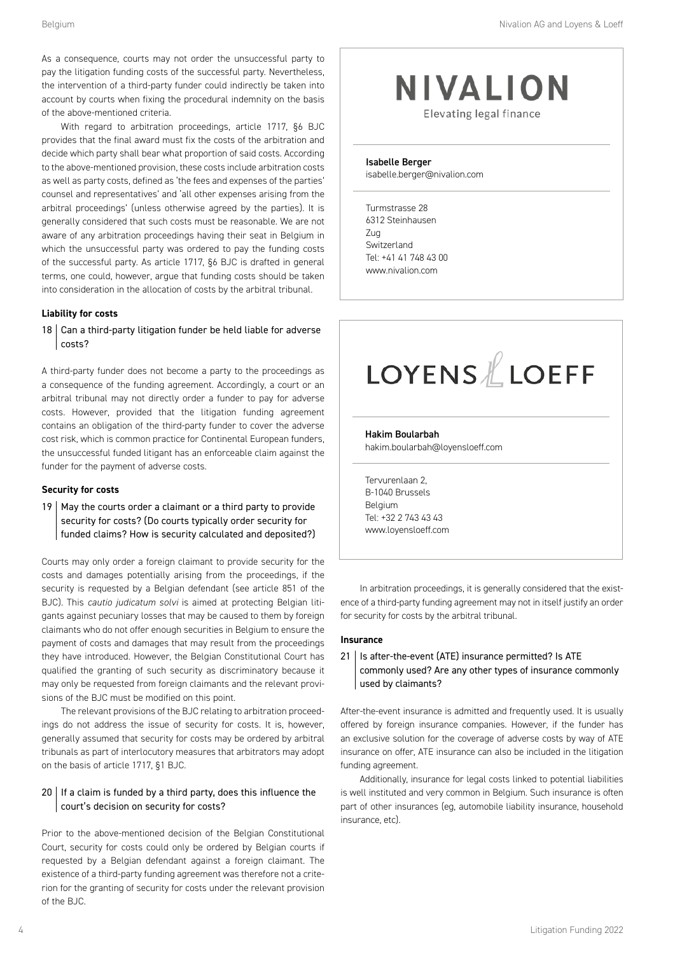Belgium **Nivalion AG and Loyens & Loeff Belgium** Nivalion AG and Loyens & Loeff

As a consequence, courts may not order the unsuccessful party to pay the litigation funding costs of the successful party. Nevertheless, the intervention of a third-party funder could indirectly be taken into account by courts when fixing the procedural indemnity on the basis of the above-mentioned criteria.

With regard to arbitration proceedings, article 1717, §6 BJC provides that the final award must fix the costs of the arbitration and decide which party shall bear what proportion of said costs. According to the above-mentioned provision, these costs include arbitration costs as well as party costs, defined as 'the fees and expenses of the parties' counsel and representatives' and 'all other expenses arising from the arbitral proceedings' (unless otherwise agreed by the parties). It is generally considered that such costs must be reasonable. We are not aware of any arbitration proceedings having their seat in Belgium in which the unsuccessful party was ordered to pay the funding costs of the successful party. As article 1717, §6 BJC is drafted in general terms, one could, however, argue that funding costs should be taken into consideration in the allocation of costs by the arbitral tribunal.

#### **Liability for costs**

 $18$  Can a third-party litigation funder be held liable for adverse costs?

A third-party funder does not become a party to the proceedings as a consequence of the funding agreement. Accordingly, a court or an arbitral tribunal may not directly order a funder to pay for adverse costs. However, provided that the litigation funding agreement contains an obligation of the third-party funder to cover the adverse cost risk, which is common practice for Continental European funders, the unsuccessful funded litigant has an enforceable claim against the funder for the payment of adverse costs.

#### **Security for costs**

19 | May the courts order a claimant or a third party to provide security for costs? (Do courts typically order security for funded claims? How is security calculated and deposited?)

Courts may only order a foreign claimant to provide security for the costs and damages potentially arising from the proceedings, if the security is requested by a Belgian defendant (see article 851 of the BJC). This *cautio judicatum solvi* is aimed at protecting Belgian litigants against pecuniary losses that may be caused to them by foreign claimants who do not offer enough securities in Belgium to ensure the payment of costs and damages that may result from the proceedings they have introduced. However, the Belgian Constitutional Court has qualified the granting of such security as discriminatory because it may only be requested from foreign claimants and the relevant provisions of the BJC must be modified on this point.

The relevant provisions of the BJC relating to arbitration proceedings do not address the issue of security for costs. It is, however, generally assumed that security for costs may be ordered by arbitral tribunals as part of interlocutory measures that arbitrators may adopt on the basis of article 1717, §1 BJC.

#### $20$  If a claim is funded by a third party, does this influence the court's decision on security for costs?

Prior to the above-mentioned decision of the Belgian Constitutional Court, security for costs could only be ordered by Belgian courts if requested by a Belgian defendant against a foreign claimant. The existence of a third-party funding agreement was therefore not a criterion for the granting of security for costs under the relevant provision of the BJC.

### **NIVALION**

Elevating legal finance

Isabelle Berger isabelle.berger@nivalion.com

Turmstrasse 28 6312 Steinhausen Zug Switzerland Tel: +41 41 748 43 00 www.nivalion.com

## **LOYENS LOEFF**

### Hakim Boularbah

hakim.boularbah@loyensloeff.com

Tervurenlaan 2, B-1040 Brussels Belgium Tel: +32 2 743 43 43 www.loyensloeff.com

In arbitration proceedings, it is generally considered that the existence of a third-party funding agreement may not in itself justify an order for security for costs by the arbitral tribunal.

#### **Insurance**

#### 21 | Is after-the-event (ATE) insurance permitted? Is ATE commonly used? Are any other types of insurance commonly used by claimants?

After-the-event insurance is admitted and frequently used. It is usually offered by foreign insurance companies. However, if the funder has an exclusive solution for the coverage of adverse costs by way of ATE insurance on offer, ATE insurance can also be included in the litigation funding agreement.

Additionally, insurance for legal costs linked to potential liabilities is well instituted and very common in Belgium. Such insurance is often part of other insurances (eg, automobile liability insurance, household insurance, etc).